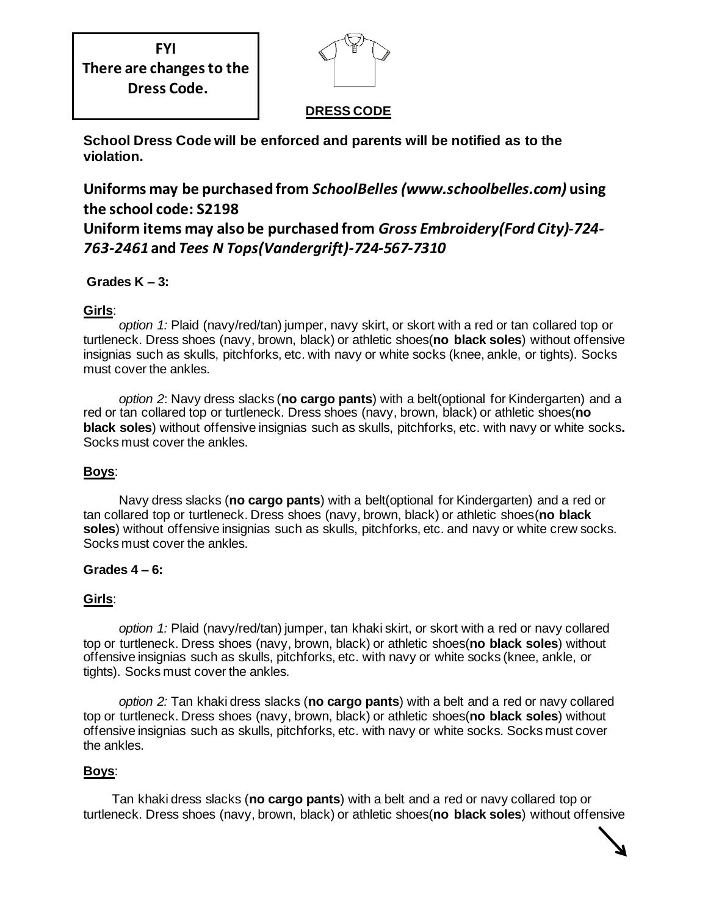**FYI There are changes to the Dress Code.**



## **DRESS CODE**

**School Dress Code will be enforced and parents will be notified as to the violation.** 

# **Uniforms may be purchased from** *SchoolBelles(www.schoolbelles.com)* **using the school code: S2198**

**Uniform items may also be purchased from** *Gross Embroidery(Ford City)-724- 763-2461* **and** *Tees N Tops(Vandergrift)-724-567-7310* 

### **Grades K – 3:**

### **Girls**:

 *option 1:* Plaid (navy/red/tan) jumper, navy skirt, or skort with a red or tan collared top or turtleneck. Dress shoes (navy, brown, black) or athletic shoes(**no black soles**) without offensive insignias such as skulls, pitchforks, etc. with navy or white socks (knee, ankle, or tights). Socks must cover the ankles.

 *option 2*: Navy dress slacks (**no cargo pants**) with a belt(optional for Kindergarten) and a red or tan collared top or turtleneck. Dress shoes (navy, brown, black) or athletic shoes(**no black soles**) without offensive insignias such as skulls, pitchforks, etc. with navy or white socks**.**  Socks must cover the ankles.

### **Boys**:

 Navy dress slacks (**no cargo pants**) with a belt(optional for Kindergarten) and a red or tan collared top or turtleneck. Dress shoes (navy, brown, black) or athletic shoes(**no black soles**) without offensive insignias such as skulls, pitchforks, etc. and navy or white crew socks. Socks must cover the ankles.

#### **Grades 4 – 6:**

### **Girls**:

 *option 1:* Plaid (navy/red/tan) jumper, tan khaki skirt, or skort with a red or navy collared top or turtleneck. Dress shoes (navy, brown, black) or athletic shoes(**no black soles**) without offensive insignias such as skulls, pitchforks, etc. with navy or white socks (knee, ankle, or tights). Socks must cover the ankles.

 *option 2:* Tan khaki dress slacks (**no cargo pants**) with a belt and a red or navy collared top or turtleneck. Dress shoes (navy, brown, black) or athletic shoes(**no black soles**) without offensive insignias such as skulls, pitchforks, etc. with navy or white socks. Socks must cover the ankles.

### **Boys**:

 Tan khaki dress slacks (**no cargo pants**) with a belt and a red or navy collared top or turtleneck. Dress shoes (navy, brown, black) or athletic shoes(**no black soles**) without offensive